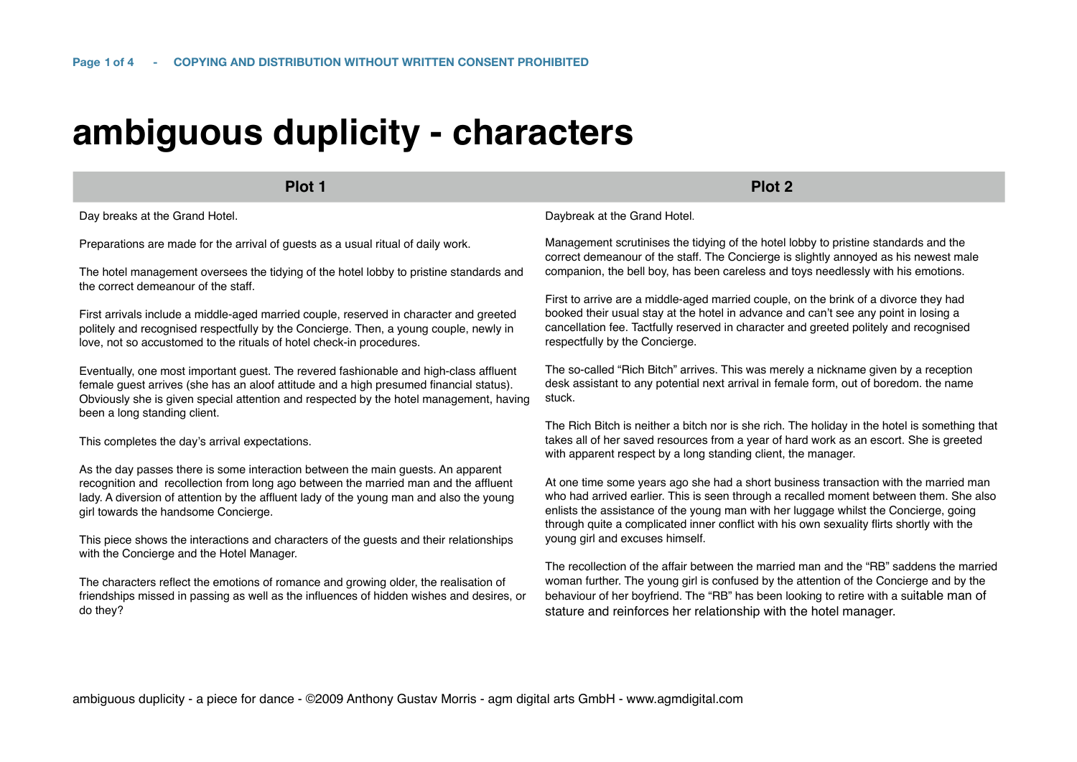# **ambiguous duplicity - characters**

**Plot 1 Plot 2**

Day breaks at the Grand Hotel.

Preparations are made for the arrival of guests as a usual ritual of daily work.

The hotel management oversees the tidying of the hotel lobby to pristine standards and the correct demeanour of the staff.

First arrivals include a middle-aged married couple, reserved in character and greeted politely and recognised respectfully by the Concierge. Then, a young couple, newly in love, not so accustomed to the rituals of hotel check-in procedures.

Eventually, one most important guest. The revered fashionable and high-class affluent female guest arrives (she has an aloof attitude and a high presumed financial status). Obviously she is given special attention and respected by the hotel management, having been a long standing client.

This completes the day's arrival expectations.

As the day passes there is some interaction between the main guests. An apparent recognition and recollection from long ago between the married man and the affluent lady. A diversion of attention by the affluent lady of the young man and also the young girl towards the handsome Concierge.

This piece shows the interactions and characters of the guests and their relationships with the Concierge and the Hotel Manager.

The characters reflect the emotions of romance and growing older, the realisation of friendships missed in passing as well as the influences of hidden wishes and desires, or do they?

Daybreak at the Grand Hotel.

Management scrutinises the tidying of the hotel lobby to pristine standards and the correct demeanour of the staff. The Concierge is slightly annoyed as his newest male companion, the bell boy, has been careless and toys needlessly with his emotions.

First to arrive are a middle-aged married couple, on the brink of a divorce they had booked their usual stay at the hotel in advance and can't see any point in losing a cancellation fee. Tactfully reserved in character and greeted politely and recognised respectfully by the Concierge.

The so-called "Rich Bitch" arrives. This was merely a nickname given by a reception desk assistant to any potential next arrival in female form, out of boredom. the name stuck.

The Rich Bitch is neither a bitch nor is she rich. The holiday in the hotel is something that takes all of her saved resources from a year of hard work as an escort. She is greeted with apparent respect by a long standing client, the manager.

At one time some years ago she had a short business transaction with the married man who had arrived earlier. This is seen through a recalled moment between them. She also enlists the assistance of the young man with her luggage whilst the Concierge, going through quite a complicated inner conflict with his own sexuality flirts shortly with the young girl and excuses himself.

The recollection of the affair between the married man and the "RB" saddens the married woman further. The young girl is confused by the attention of the Concierge and by the behaviour of her boyfriend. The "RB" has been looking to retire with a suitable man of stature and reinforces her relationship with the hotel manager.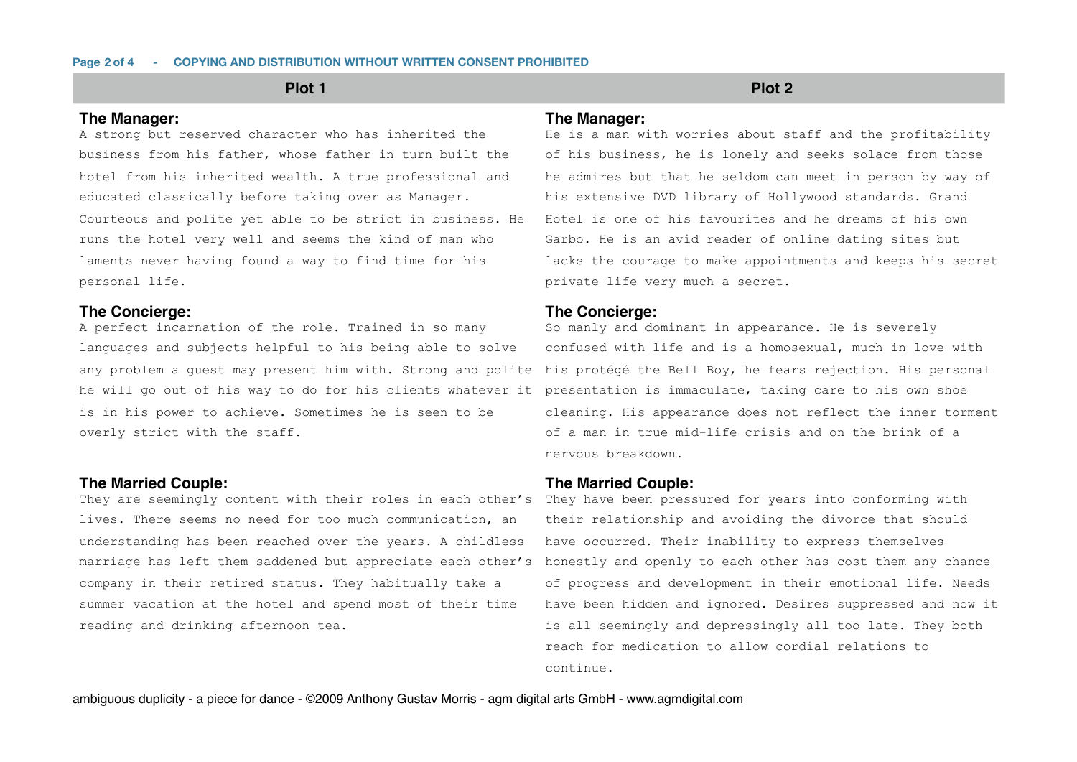## **The Manager:**

A strong but reserved character who has inherited the business from his father, whose father in turn built the hotel from his inherited wealth. A true professional and educated classically before taking over as Manager. Courteous and polite yet able to be strict in business. He runs the hotel very well and seems the kind of man who laments never having found a way to find time for his personal life.

## **The Concierge:**

A perfect incarnation of the role. Trained in so many languages and subjects helpful to his being able to solve any problem a guest may present him with. Strong and polite he will go out of his way to do for his clients whatever it presentation is immaculate, taking care to his own shoe is in his power to achieve. Sometimes he is seen to be overly strict with the staff.

## **The Married Couple:**

They are seemingly content with their roles in each other's lives. There seems no need for too much communication, an understanding has been reached over the years. A childless marriage has left them saddened but appreciate each other's company in their retired status. They habitually take a summer vacation at the hotel and spend most of their time reading and drinking afternoon tea.

# **Plot 1 Plot 2**

## **The Manager:**

He is a man with worries about staff and the profitability of his business, he is lonely and seeks solace from those he admires but that he seldom can meet in person by way of his extensive DVD library of Hollywood standards. Grand Hotel is one of his favourites and he dreams of his own Garbo. He is an avid reader of online dating sites but lacks the courage to make appointments and keeps his secret private life very much a secret.

## **The Concierge:**

So manly and dominant in appearance. He is severely confused with life and is a homosexual, much in love with his protégé the Bell Boy, he fears rejection. His personal cleaning. His appearance does not reflect the inner torment of a man in true mid-life crisis and on the brink of a nervous breakdown.

## **The Married Couple:**

They have been pressured for years into conforming with their relationship and avoiding the divorce that should have occurred. Their inability to express themselves honestly and openly to each other has cost them any chance of progress and development in their emotional life. Needs have been hidden and ignored. Desires suppressed and now it is all seemingly and depressingly all too late. They both reach for medication to allow cordial relations to continue.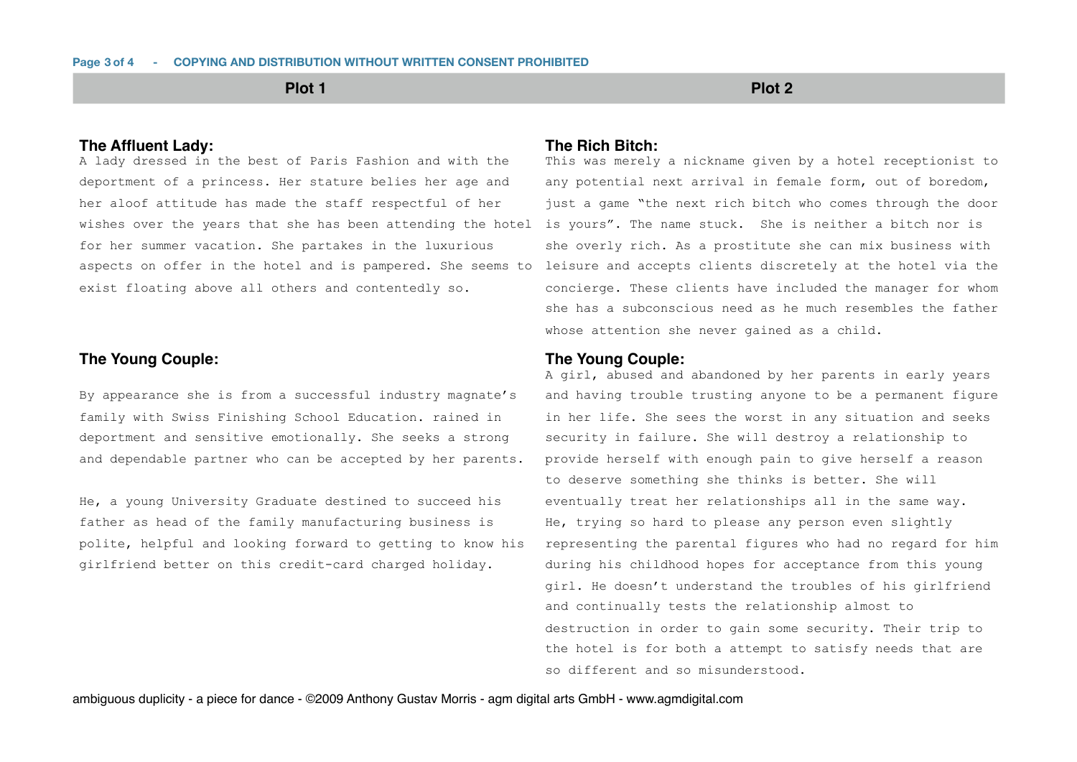**Plot 1 Plot 2**

# **The Affluent Lady:**

A lady dressed in the best of Paris Fashion and with the deportment of a princess. Her stature belies her age and her aloof attitude has made the staff respectful of her wishes over the years that she has been attending the hotel is yours". The name stuck. She is neither a bitch nor is for her summer vacation. She partakes in the luxurious aspects on offer in the hotel and is pampered. She seems to exist floating above all others and contentedly so.

# **The Young Couple:**

By appearance she is from a successful industry magnate's family with Swiss Finishing School Education. rained in deportment and sensitive emotionally. She seeks a strong and dependable partner who can be accepted by her parents.

He, a young University Graduate destined to succeed his father as head of the family manufacturing business is polite, helpful and looking forward to getting to know his girlfriend better on this credit-card charged holiday.

## **The Rich Bitch:**

This was merely a nickname given by a hotel receptionist to any potential next arrival in female form, out of boredom, just a game "the next rich bitch who comes through the door she overly rich. As a prostitute she can mix business with leisure and accepts clients discretely at the hotel via the concierge. These clients have included the manager for whom she has a subconscious need as he much resembles the father whose attention she never gained as a child.

## **The Young Couple:**

A girl, abused and abandoned by her parents in early years and having trouble trusting anyone to be a permanent figure in her life. She sees the worst in any situation and seeks security in failure. She will destroy a relationship to provide herself with enough pain to give herself a reason to deserve something she thinks is better. She will eventually treat her relationships all in the same way. He, trying so hard to please any person even slightly representing the parental figures who had no regard for him during his childhood hopes for acceptance from this young girl. He doesn't understand the troubles of his girlfriend and continually tests the relationship almost to destruction in order to gain some security. Their trip to the hotel is for both a attempt to satisfy needs that are so different and so misunderstood.